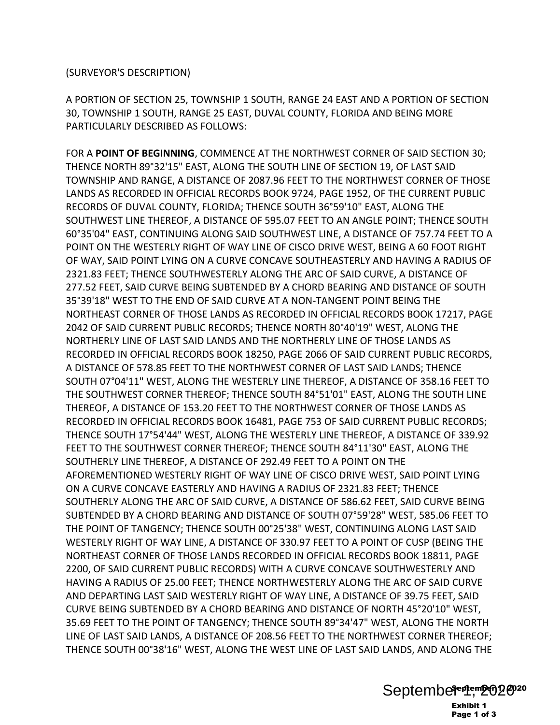(SURVEYOR'S DESCRIPTION)

A PORTION OF SECTION 25, TOWNSHIP 1 SOUTH, RANGE 24 EAST AND A PORTION OF SECTION 30, TOWNSHIP 1 SOUTH, RANGE 25 EAST, DUVAL COUNTY, FLORIDA AND BEING MORE PARTICULARLY DESCRIBED AS FOLLOWS:

FOR A **POINT OF BEGINNING**, COMMENCE AT THE NORTHWEST CORNER OF SAID SECTION 30; THENCE NORTH 89°32'15" EAST, ALONG THE SOUTH LINE OF SECTION 19, OF LAST SAID TOWNSHIP AND RANGE, A DISTANCE OF 2087.96 FEET TO THE NORTHWEST CORNER OF THOSE LANDS AS RECORDED IN OFFICIAL RECORDS BOOK 9724, PAGE 1952, OF THE CURRENT PUBLIC RECORDS OF DUVAL COUNTY, FLORIDA; THENCE SOUTH 36°59'10" EAST, ALONG THE SOUTHWEST LINE THEREOF, A DISTANCE OF 595.07 FEET TO AN ANGLE POINT; THENCE SOUTH 60°35'04" EAST, CONTINUING ALONG SAID SOUTHWEST LINE, A DISTANCE OF 757.74 FEET TO A POINT ON THE WESTERLY RIGHT OF WAY LINE OF CISCO DRIVE WEST, BEING A 60 FOOT RIGHT OF WAY, SAID POINT LYING ON A CURVE CONCAVE SOUTHEASTERLY AND HAVING A RADIUS OF 2321.83 FEET; THENCE SOUTHWESTERLY ALONG THE ARC OF SAID CURVE, A DISTANCE OF 277.52 FEET, SAID CURVE BEING SUBTENDED BY A CHORD BEARING AND DISTANCE OF SOUTH 35°39'18" WEST TO THE END OF SAID CURVE AT A NON-TANGENT POINT BEING THE NORTHEAST CORNER OF THOSE LANDS AS RECORDED IN OFFICIAL RECORDS BOOK 17217, PAGE 2042 OF SAID CURRENT PUBLIC RECORDS; THENCE NORTH 80°40'19" WEST, ALONG THE NORTHERLY LINE OF LAST SAID LANDS AND THE NORTHERLY LINE OF THOSE LANDS AS RECORDED IN OFFICIAL RECORDS BOOK 18250, PAGE 2066 OF SAID CURRENT PUBLIC RECORDS, A DISTANCE OF 578.85 FEET TO THE NORTHWEST CORNER OF LAST SAID LANDS; THENCE SOUTH 07°04'11" WEST, ALONG THE WESTERLY LINE THEREOF, A DISTANCE OF 358.16 FEET TO THE SOUTHWEST CORNER THEREOF; THENCE SOUTH 84°51'01" EAST, ALONG THE SOUTH LINE THEREOF, A DISTANCE OF 153.20 FEET TO THE NORTHWEST CORNER OF THOSE LANDS AS RECORDED IN OFFICIAL RECORDS BOOK 16481, PAGE 753 OF SAID CURRENT PUBLIC RECORDS; THENCE SOUTH 17°54'44" WEST, ALONG THE WESTERLY LINE THEREOF, A DISTANCE OF 339.92 FEET TO THE SOUTHWEST CORNER THEREOF; THENCE SOUTH 84°11'30" EAST, ALONG THE SOUTHERLY LINE THEREOF, A DISTANCE OF 292.49 FEET TO A POINT ON THE AFOREMENTIONED WESTERLY RIGHT OF WAY LINE OF CISCO DRIVE WEST, SAID POINT LYING ON A CURVE CONCAVE EASTERLY AND HAVING A RADIUS OF 2321.83 FEET; THENCE SOUTHERLY ALONG THE ARC OF SAID CURVE, A DISTANCE OF 586.62 FEET, SAID CURVE BEING SUBTENDED BY A CHORD BEARING AND DISTANCE OF SOUTH 07°59'28" WEST, 585.06 FEET TO THE POINT OF TANGENCY; THENCE SOUTH 00°25'38" WEST, CONTINUING ALONG LAST SAID WESTERLY RIGHT OF WAY LINE, A DISTANCE OF 330.97 FEET TO A POINT OF CUSP (BEING THE NORTHEAST CORNER OF THOSE LANDS RECORDED IN OFFICIAL RECORDS BOOK 18811, PAGE 2200, OF SAID CURRENT PUBLIC RECORDS) WITH A CURVE CONCAVE SOUTHWESTERLY AND HAVING A RADIUS OF 25.00 FEET; THENCE NORTHWESTERLY ALONG THE ARC OF SAID CURVE AND DEPARTING LAST SAID WESTERLY RIGHT OF WAY LINE, A DISTANCE OF 39.75 FEET, SAID CURVE BEING SUBTENDED BY A CHORD BEARING AND DISTANCE OF NORTH 45°20'10" WEST, 35.69 FEET TO THE POINT OF TANGENCY; THENCE SOUTH 89°34'47" WEST, ALONG THE NORTH LINE OF LAST SAID LANDS, A DISTANCE OF 208.56 FEET TO THE NORTHWEST CORNER THEREOF; THENCE SOUTH 00°38'16" WEST, ALONG THE WEST LINE OF LAST SAID LANDS, AND ALONG THE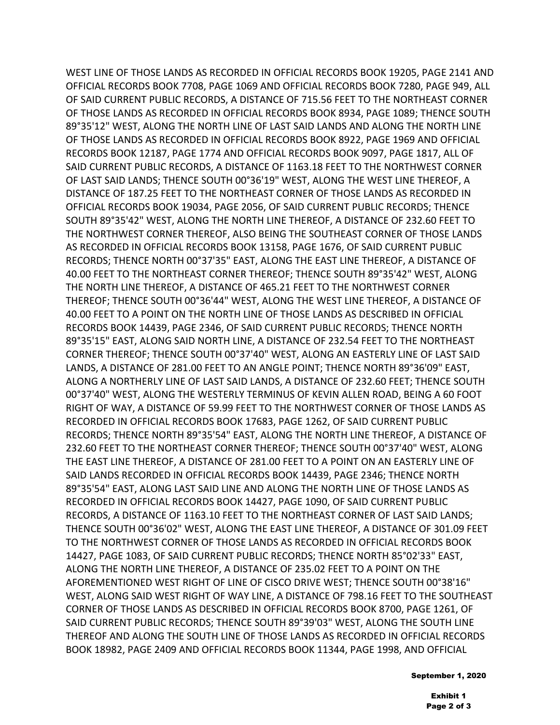WEST LINE OF THOSE LANDS AS RECORDED IN OFFICIAL RECORDS BOOK 19205, PAGE 2141 AND OFFICIAL RECORDS BOOK 7708, PAGE 1069 AND OFFICIAL RECORDS BOOK 7280, PAGE 949, ALL OF SAID CURRENT PUBLIC RECORDS, A DISTANCE OF 715.56 FEET TO THE NORTHEAST CORNER OF THOSE LANDS AS RECORDED IN OFFICIAL RECORDS BOOK 8934, PAGE 1089; THENCE SOUTH 89°35'12" WEST, ALONG THE NORTH LINE OF LAST SAID LANDS AND ALONG THE NORTH LINE OF THOSE LANDS AS RECORDED IN OFFICIAL RECORDS BOOK 8922, PAGE 1969 AND OFFICIAL RECORDS BOOK 12187, PAGE 1774 AND OFFICIAL RECORDS BOOK 9097, PAGE 1817, ALL OF SAID CURRENT PUBLIC RECORDS, A DISTANCE OF 1163.18 FEET TO THE NORTHWEST CORNER OF LAST SAID LANDS; THENCE SOUTH 00°36'19" WEST, ALONG THE WEST LINE THEREOF, A DISTANCE OF 187.25 FEET TO THE NORTHEAST CORNER OF THOSE LANDS AS RECORDED IN OFFICIAL RECORDS BOOK 19034, PAGE 2056, OF SAID CURRENT PUBLIC RECORDS; THENCE SOUTH 89°35'42" WEST, ALONG THE NORTH LINE THEREOF, A DISTANCE OF 232.60 FEET TO THE NORTHWEST CORNER THEREOF, ALSO BEING THE SOUTHEAST CORNER OF THOSE LANDS AS RECORDED IN OFFICIAL RECORDS BOOK 13158, PAGE 1676, OF SAID CURRENT PUBLIC RECORDS; THENCE NORTH 00°37'35" EAST, ALONG THE EAST LINE THEREOF, A DISTANCE OF 40.00 FEET TO THE NORTHEAST CORNER THEREOF; THENCE SOUTH 89°35'42" WEST, ALONG THE NORTH LINE THEREOF, A DISTANCE OF 465.21 FEET TO THE NORTHWEST CORNER THEREOF; THENCE SOUTH 00°36'44" WEST, ALONG THE WEST LINE THEREOF, A DISTANCE OF 40.00 FEET TO A POINT ON THE NORTH LINE OF THOSE LANDS AS DESCRIBED IN OFFICIAL RECORDS BOOK 14439, PAGE 2346, OF SAID CURRENT PUBLIC RECORDS; THENCE NORTH 89°35'15" EAST, ALONG SAID NORTH LINE, A DISTANCE OF 232.54 FEET TO THE NORTHEAST CORNER THEREOF; THENCE SOUTH 00°37'40" WEST, ALONG AN EASTERLY LINE OF LAST SAID LANDS, A DISTANCE OF 281.00 FEET TO AN ANGLE POINT; THENCE NORTH 89°36'09" EAST, ALONG A NORTHERLY LINE OF LAST SAID LANDS, A DISTANCE OF 232.60 FEET; THENCE SOUTH 00°37'40" WEST, ALONG THE WESTERLY TERMINUS OF KEVIN ALLEN ROAD, BEING A 60 FOOT RIGHT OF WAY, A DISTANCE OF 59.99 FEET TO THE NORTHWEST CORNER OF THOSE LANDS AS RECORDED IN OFFICIAL RECORDS BOOK 17683, PAGE 1262, OF SAID CURRENT PUBLIC RECORDS; THENCE NORTH 89°35'54" EAST, ALONG THE NORTH LINE THEREOF, A DISTANCE OF 232.60 FEET TO THE NORTHEAST CORNER THEREOF; THENCE SOUTH 00°37'40" WEST, ALONG THE EAST LINE THEREOF, A DISTANCE OF 281.00 FEET TO A POINT ON AN EASTERLY LINE OF SAID LANDS RECORDED IN OFFICIAL RECORDS BOOK 14439, PAGE 2346; THENCE NORTH 89°35'54" EAST, ALONG LAST SAID LINE AND ALONG THE NORTH LINE OF THOSE LANDS AS RECORDED IN OFFICIAL RECORDS BOOK 14427, PAGE 1090, OF SAID CURRENT PUBLIC RECORDS, A DISTANCE OF 1163.10 FEET TO THE NORTHEAST CORNER OF LAST SAID LANDS; THENCE SOUTH 00°36'02" WEST, ALONG THE EAST LINE THEREOF, A DISTANCE OF 301.09 FEET TO THE NORTHWEST CORNER OF THOSE LANDS AS RECORDED IN OFFICIAL RECORDS BOOK 14427, PAGE 1083, OF SAID CURRENT PUBLIC RECORDS; THENCE NORTH 85°02'33" EAST, ALONG THE NORTH LINE THEREOF, A DISTANCE OF 235.02 FEET TO A POINT ON THE AFOREMENTIONED WEST RIGHT OF LINE OF CISCO DRIVE WEST; THENCE SOUTH 00°38'16" WEST, ALONG SAID WEST RIGHT OF WAY LINE, A DISTANCE OF 798.16 FEET TO THE SOUTHEAST CORNER OF THOSE LANDS AS DESCRIBED IN OFFICIAL RECORDS BOOK 8700, PAGE 1261, OF SAID CURRENT PUBLIC RECORDS; THENCE SOUTH 89°39'03" WEST, ALONG THE SOUTH LINE THEREOF AND ALONG THE SOUTH LINE OF THOSE LANDS AS RECORDED IN OFFICIAL RECORDS BOOK 18982, PAGE 2409 AND OFFICIAL RECORDS BOOK 11344, PAGE 1998, AND OFFICIAL

September 1, 2020